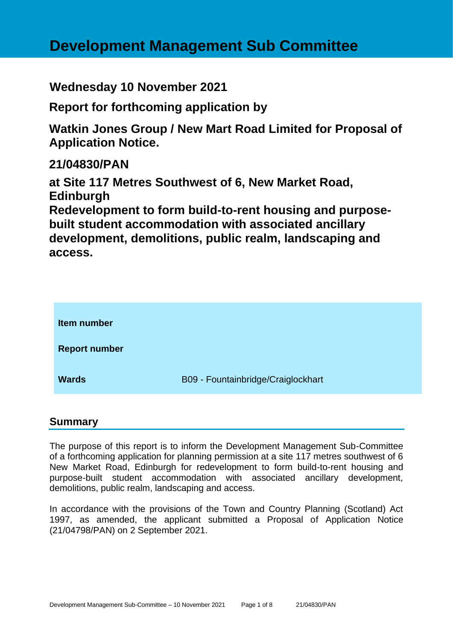# **Development Management Sub Committee**

**Wednesday 10 November 2021**

**Report for forthcoming application by**

**Watkin Jones Group / New Mart Road Limited for Proposal of Application Notice.**

**21/04830/PAN**

**at Site 117 Metres Southwest of 6, New Market Road, Edinburgh**

**Redevelopment to form build-to-rent housing and purposebuilt student accommodation with associated ancillary development, demolitions, public realm, landscaping and access.**

| <b>Item number</b>   |                                    |
|----------------------|------------------------------------|
| <b>Report number</b> |                                    |
| <b>Wards</b>         | B09 - Fountainbridge/Craiglockhart |

## **Summary**

The purpose of this report is to inform the Development Management Sub-Committee of a forthcoming application for planning permission at a site 117 metres southwest of 6 New Market Road, Edinburgh for redevelopment to form build-to-rent housing and purpose-built student accommodation with associated ancillary development, demolitions, public realm, landscaping and access.

In accordance with the provisions of the Town and Country Planning (Scotland) Act 1997, as amended, the applicant submitted a Proposal of Application Notice (21/04798/PAN) on 2 September 2021.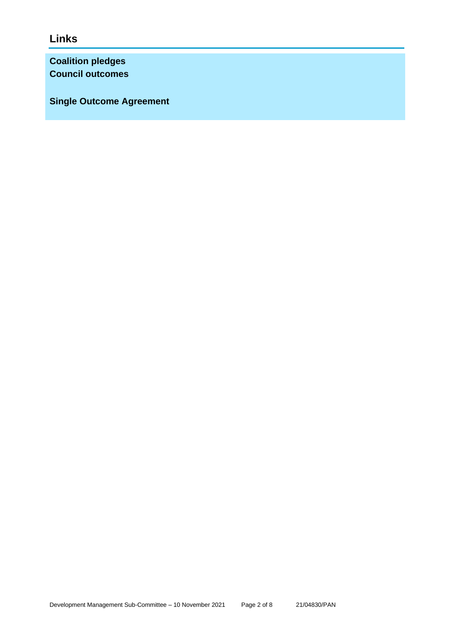**Links**

**Coalition pledges Council outcomes**

**Single Outcome Agreement**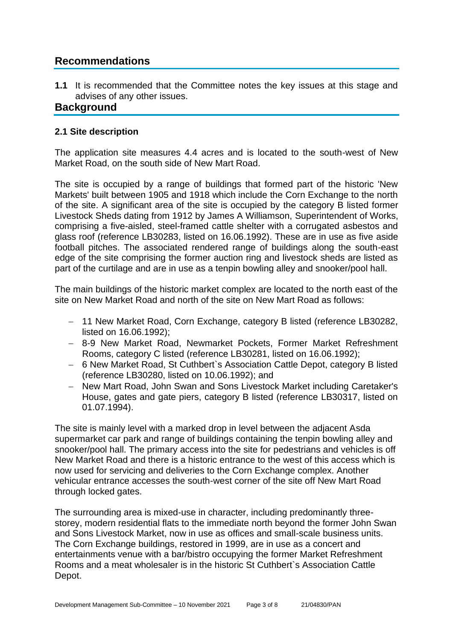## **Recommendations**

**1.1** It is recommended that the Committee notes the key issues at this stage and advises of any other issues.

## **Background**

## **2.1 Site description**

The application site measures 4.4 acres and is located to the south-west of New Market Road, on the south side of New Mart Road.

The site is occupied by a range of buildings that formed part of the historic 'New Markets' built between 1905 and 1918 which include the Corn Exchange to the north of the site. A significant area of the site is occupied by the category B listed former Livestock Sheds dating from 1912 by James A Williamson, Superintendent of Works, comprising a five-aisled, steel-framed cattle shelter with a corrugated asbestos and glass roof (reference LB30283, listed on 16.06.1992). These are in use as five aside football pitches. The associated rendered range of buildings along the south-east edge of the site comprising the former auction ring and livestock sheds are listed as part of the curtilage and are in use as a tenpin bowling alley and snooker/pool hall.

The main buildings of the historic market complex are located to the north east of the site on New Market Road and north of the site on New Mart Road as follows:

- − 11 New Market Road, Corn Exchange, category B listed (reference LB30282, listed on 16.06.1992);
- − 8-9 New Market Road, Newmarket Pockets, Former Market Refreshment Rooms, category C listed (reference LB30281, listed on 16.06.1992);
- − 6 New Market Road, St Cuthbert`s Association Cattle Depot, category B listed (reference LB30280, listed on 10.06.1992); and
- − New Mart Road, John Swan and Sons Livestock Market including Caretaker's House, gates and gate piers, category B listed (reference LB30317, listed on 01.07.1994).

The site is mainly level with a marked drop in level between the adjacent Asda supermarket car park and range of buildings containing the tenpin bowling alley and snooker/pool hall. The primary access into the site for pedestrians and vehicles is off New Market Road and there is a historic entrance to the west of this access which is now used for servicing and deliveries to the Corn Exchange complex. Another vehicular entrance accesses the south-west corner of the site off New Mart Road through locked gates.

The surrounding area is mixed-use in character, including predominantly threestorey, modern residential flats to the immediate north beyond the former John Swan and Sons Livestock Market, now in use as offices and small-scale business units. The Corn Exchange buildings, restored in 1999, are in use as a concert and entertainments venue with a bar/bistro occupying the former Market Refreshment Rooms and a meat wholesaler is in the historic St Cuthbert`s Association Cattle Depot.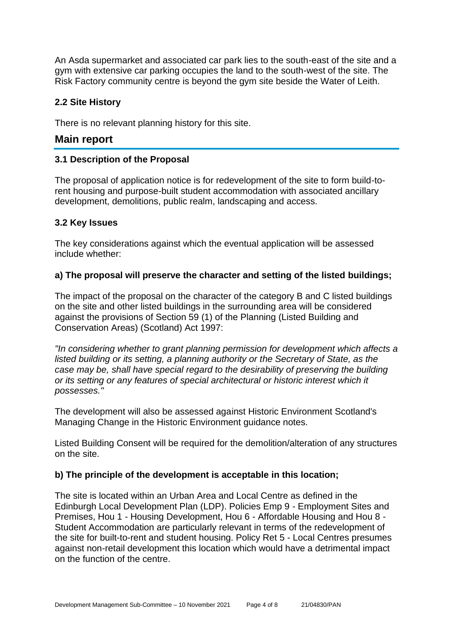An Asda supermarket and associated car park lies to the south-east of the site and a gym with extensive car parking occupies the land to the south-west of the site. The Risk Factory community centre is beyond the gym site beside the Water of Leith.

#### **2.2 Site History**

There is no relevant planning history for this site.

## **Main report**

#### **3.1 Description of the Proposal**

The proposal of application notice is for redevelopment of the site to form build-torent housing and purpose-built student accommodation with associated ancillary development, demolitions, public realm, landscaping and access.

#### **3.2 Key Issues**

The key considerations against which the eventual application will be assessed include whether:

#### **a) The proposal will preserve the character and setting of the listed buildings;**

The impact of the proposal on the character of the category B and C listed buildings on the site and other listed buildings in the surrounding area will be considered against the provisions of Section 59 (1) of the Planning (Listed Building and Conservation Areas) (Scotland) Act 1997:

*"In considering whether to grant planning permission for development which affects a listed building or its setting, a planning authority or the Secretary of State, as the case may be, shall have special regard to the desirability of preserving the building or its setting or any features of special architectural or historic interest which it possesses."*

The development will also be assessed against Historic Environment Scotland's Managing Change in the Historic Environment guidance notes.

Listed Building Consent will be required for the demolition/alteration of any structures on the site.

#### **b) The principle of the development is acceptable in this location;**

The site is located within an Urban Area and Local Centre as defined in the Edinburgh Local Development Plan (LDP). Policies Emp 9 - Employment Sites and Premises, Hou 1 - Housing Development, Hou 6 - Affordable Housing and Hou 8 - Student Accommodation are particularly relevant in terms of the redevelopment of the site for built-to-rent and student housing. Policy Ret 5 - Local Centres presumes against non-retail development this location which would have a detrimental impact on the function of the centre.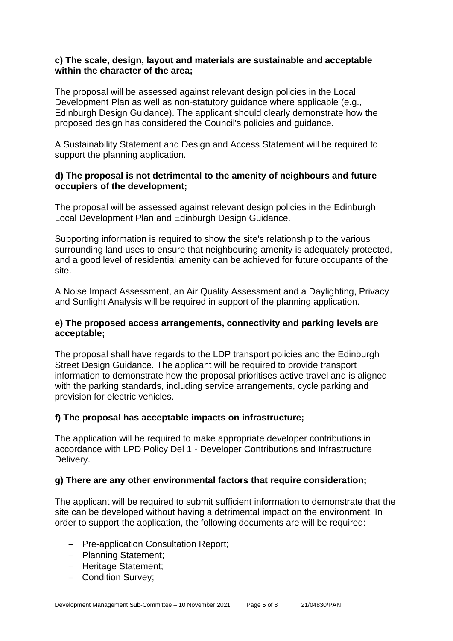#### **c) The scale, design, layout and materials are sustainable and acceptable within the character of the area;**

The proposal will be assessed against relevant design policies in the Local Development Plan as well as non-statutory guidance where applicable (e.g., Edinburgh Design Guidance). The applicant should clearly demonstrate how the proposed design has considered the Council's policies and guidance.

A Sustainability Statement and Design and Access Statement will be required to support the planning application.

#### **d) The proposal is not detrimental to the amenity of neighbours and future occupiers of the development;**

The proposal will be assessed against relevant design policies in the Edinburgh Local Development Plan and Edinburgh Design Guidance.

Supporting information is required to show the site's relationship to the various surrounding land uses to ensure that neighbouring amenity is adequately protected, and a good level of residential amenity can be achieved for future occupants of the site.

A Noise Impact Assessment, an Air Quality Assessment and a Daylighting, Privacy and Sunlight Analysis will be required in support of the planning application.

## **e) The proposed access arrangements, connectivity and parking levels are acceptable;**

The proposal shall have regards to the LDP transport policies and the Edinburgh Street Design Guidance. The applicant will be required to provide transport information to demonstrate how the proposal prioritises active travel and is aligned with the parking standards, including service arrangements, cycle parking and provision for electric vehicles.

## **f) The proposal has acceptable impacts on infrastructure;**

The application will be required to make appropriate developer contributions in accordance with LPD Policy Del 1 - Developer Contributions and Infrastructure Delivery.

#### **g) There are any other environmental factors that require consideration;**

The applicant will be required to submit sufficient information to demonstrate that the site can be developed without having a detrimental impact on the environment. In order to support the application, the following documents are will be required:

- − Pre-application Consultation Report;
- − Planning Statement;
- − Heritage Statement;
- − Condition Survey;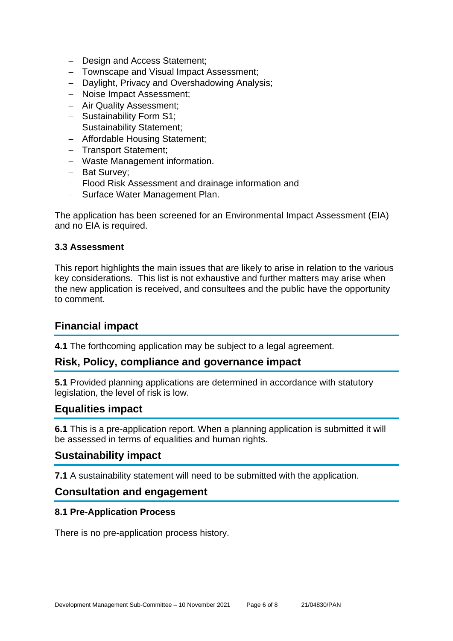- − Design and Access Statement;
- − Townscape and Visual Impact Assessment;
- − Daylight, Privacy and Overshadowing Analysis;
- − Noise Impact Assessment;
- − Air Quality Assessment;
- − Sustainability Form S1;
- − Sustainability Statement;
- − Affordable Housing Statement;
- − Transport Statement;
- − Waste Management information.
- − Bat Survey;
- − Flood Risk Assessment and drainage information and
- − Surface Water Management Plan.

The application has been screened for an Environmental Impact Assessment (EIA) and no EIA is required.

#### **3.3 Assessment**

This report highlights the main issues that are likely to arise in relation to the various key considerations. This list is not exhaustive and further matters may arise when the new application is received, and consultees and the public have the opportunity to comment.

## **Financial impact**

**4.1** The forthcoming application may be subject to a legal agreement.

## **Risk, Policy, compliance and governance impact**

**5.1** Provided planning applications are determined in accordance with statutory legislation, the level of risk is low.

## **Equalities impact**

**6.1** This is a pre-application report. When a planning application is submitted it will be assessed in terms of equalities and human rights.

## **Sustainability impact**

**7.1** A sustainability statement will need to be submitted with the application.

## **Consultation and engagement**

#### **8.1 Pre-Application Process**

There is no pre-application process history.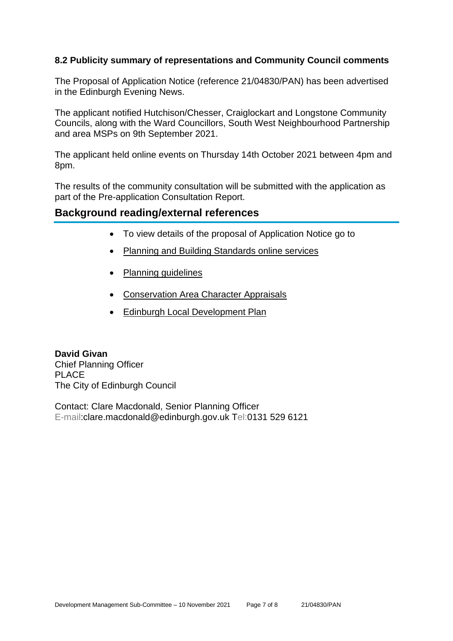## **8.2 Publicity summary of representations and Community Council comments**

The Proposal of Application Notice (reference 21/04830/PAN) has been advertised in the Edinburgh Evening News.

The applicant notified Hutchison/Chesser, Craiglockart and Longstone Community Councils, along with the Ward Councillors, South West Neighbourhood Partnership and area MSPs on 9th September 2021.

The applicant held online events on Thursday 14th October 2021 between 4pm and 8pm.

The results of the community consultation will be submitted with the application as part of the Pre-application Consultation Report.

## **Background reading/external references**

- To view details of the proposal of Application Notice go to
- [Planning and Building Standards online services](https://citydev-portal.edinburgh.gov.uk/idoxpa-web/search.do?action=simple&searchType=Application)
- [Planning guidelines](http://www.edinburgh.gov.uk/planningguidelines)
- [Conservation Area Character Appraisals](http://www.edinburgh.gov.uk/characterappraisals)
- [Edinburgh Local Development Plan](http://www.edinburgh.gov.uk/info/20164/proposed_local_development_plan/66/local_development_plan)

**David Givan** Chief Planning Officer PLACE The City of Edinburgh Council

Contact: Clare Macdonald, Senior Planning Officer E-mail:clare.macdonald@edinburgh.gov.uk Tel:0131 529 6121